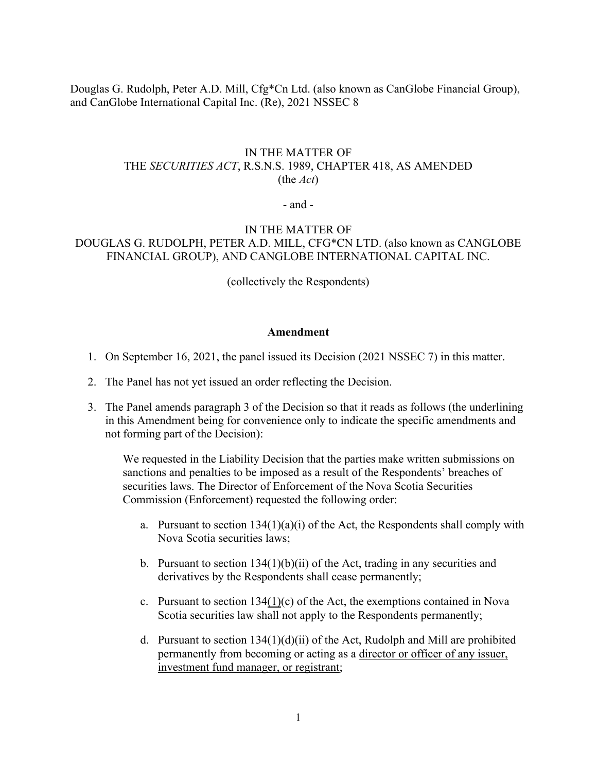Douglas G. Rudolph, Peter A.D. Mill, Cfg\*Cn Ltd. (also known as CanGlobe Financial Group), and CanGlobe International Capital Inc. (Re), 2021 NSSEC 8

## IN THE MATTER OF THE *SECURITIES ACT*, R.S.N.S. 1989, CHAPTER 418, AS AMENDED (the *Act*)

- and -

## IN THE MATTER OF DOUGLAS G. RUDOLPH, PETER A.D. MILL, CFG\*CN LTD. (also known as CANGLOBE FINANCIAL GROUP), AND CANGLOBE INTERNATIONAL CAPITAL INC.

(collectively the Respondents)

## **Amendment**

- 1. On September 16, 2021, the panel issued its Decision (2021 NSSEC 7) in this matter.
- 2. The Panel has not yet issued an order reflecting the Decision.
- 3. The Panel amends paragraph 3 of the Decision so that it reads as follows (the underlining in this Amendment being for convenience only to indicate the specific amendments and not forming part of the Decision):

We requested in the Liability Decision that the parties make written submissions on sanctions and penalties to be imposed as a result of the Respondents' breaches of securities laws. The Director of Enforcement of the Nova Scotia Securities Commission (Enforcement) requested the following order:

- a. Pursuant to section  $134(1)(a)(i)$  of the Act, the Respondents shall comply with Nova Scotia securities laws;
- b. Pursuant to section  $134(1)(b)(ii)$  of the Act, trading in any securities and derivatives by the Respondents shall cease permanently;
- c. Pursuant to section 134(1)(c) of the Act, the exemptions contained in Nova Scotia securities law shall not apply to the Respondents permanently;
- d. Pursuant to section  $134(1)(d)(ii)$  of the Act, Rudolph and Mill are prohibited permanently from becoming or acting as a director or officer of any issuer, investment fund manager, or registrant;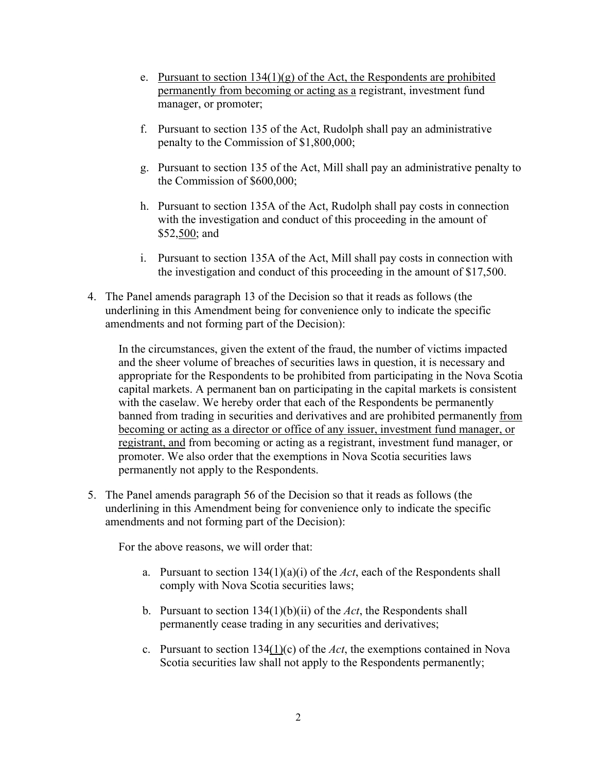- e. Pursuant to section  $134(1)(g)$  of the Act, the Respondents are prohibited permanently from becoming or acting as a registrant, investment fund manager, or promoter;
- f. Pursuant to section 135 of the Act, Rudolph shall pay an administrative penalty to the Commission of \$1,800,000;
- g. Pursuant to section 135 of the Act, Mill shall pay an administrative penalty to the Commission of \$600,000;
- h. Pursuant to section 135A of the Act, Rudolph shall pay costs in connection with the investigation and conduct of this proceeding in the amount of \$52,500; and
- i. Pursuant to section 135A of the Act, Mill shall pay costs in connection with the investigation and conduct of this proceeding in the amount of \$17,500.
- 4. The Panel amends paragraph 13 of the Decision so that it reads as follows (the underlining in this Amendment being for convenience only to indicate the specific amendments and not forming part of the Decision):

In the circumstances, given the extent of the fraud, the number of victims impacted and the sheer volume of breaches of securities laws in question, it is necessary and appropriate for the Respondents to be prohibited from participating in the Nova Scotia capital markets. A permanent ban on participating in the capital markets is consistent with the caselaw. We hereby order that each of the Respondents be permanently banned from trading in securities and derivatives and are prohibited permanently from becoming or acting as a director or office of any issuer, investment fund manager, or registrant, and from becoming or acting as a registrant, investment fund manager, or promoter. We also order that the exemptions in Nova Scotia securities laws permanently not apply to the Respondents.

5. The Panel amends paragraph 56 of the Decision so that it reads as follows (the underlining in this Amendment being for convenience only to indicate the specific amendments and not forming part of the Decision):

For the above reasons, we will order that:

- a. Pursuant to section 134(1)(a)(i) of the *Act*, each of the Respondents shall comply with Nova Scotia securities laws;
- b. Pursuant to section 134(1)(b)(ii) of the *Act*, the Respondents shall permanently cease trading in any securities and derivatives;
- c. Pursuant to section 134(1)(c) of the *Act*, the exemptions contained in Nova Scotia securities law shall not apply to the Respondents permanently;